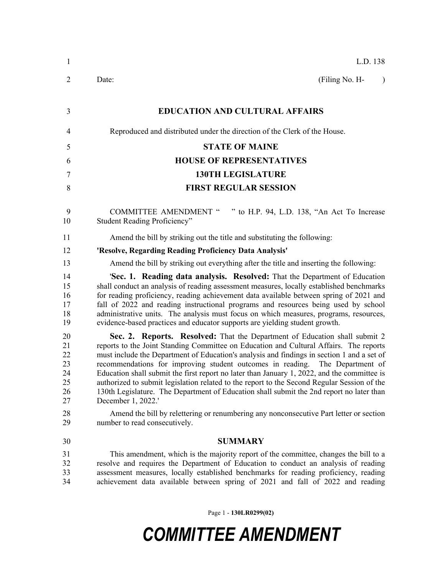| $\mathbf{1}$                                 | L.D. 138                                                                                                                                                                                                                                                                                                                                                                                                                                                                                                                                                                                                                                                           |
|----------------------------------------------|--------------------------------------------------------------------------------------------------------------------------------------------------------------------------------------------------------------------------------------------------------------------------------------------------------------------------------------------------------------------------------------------------------------------------------------------------------------------------------------------------------------------------------------------------------------------------------------------------------------------------------------------------------------------|
| $\overline{2}$                               | (Filing No. H-<br>Date:<br>$\lambda$                                                                                                                                                                                                                                                                                                                                                                                                                                                                                                                                                                                                                               |
| 3                                            | <b>EDUCATION AND CULTURAL AFFAIRS</b>                                                                                                                                                                                                                                                                                                                                                                                                                                                                                                                                                                                                                              |
| 4                                            | Reproduced and distributed under the direction of the Clerk of the House.                                                                                                                                                                                                                                                                                                                                                                                                                                                                                                                                                                                          |
| 5                                            | <b>STATE OF MAINE</b>                                                                                                                                                                                                                                                                                                                                                                                                                                                                                                                                                                                                                                              |
| 6                                            | <b>HOUSE OF REPRESENTATIVES</b>                                                                                                                                                                                                                                                                                                                                                                                                                                                                                                                                                                                                                                    |
| 7                                            | <b>130TH LEGISLATURE</b>                                                                                                                                                                                                                                                                                                                                                                                                                                                                                                                                                                                                                                           |
| 8                                            | <b>FIRST REGULAR SESSION</b>                                                                                                                                                                                                                                                                                                                                                                                                                                                                                                                                                                                                                                       |
| 9<br>10                                      | <b>COMMITTEE AMENDMENT "</b><br>" to H.P. 94, L.D. 138, "An Act To Increase<br><b>Student Reading Proficiency"</b>                                                                                                                                                                                                                                                                                                                                                                                                                                                                                                                                                 |
| 11                                           | Amend the bill by striking out the title and substituting the following:                                                                                                                                                                                                                                                                                                                                                                                                                                                                                                                                                                                           |
| 12                                           | 'Resolve, Regarding Reading Proficiency Data Analysis'                                                                                                                                                                                                                                                                                                                                                                                                                                                                                                                                                                                                             |
| 13                                           | Amend the bill by striking out everything after the title and inserting the following:                                                                                                                                                                                                                                                                                                                                                                                                                                                                                                                                                                             |
| 14<br>15<br>16<br>17<br>18<br>19             | 'Sec. 1. Reading data analysis. Resolved: That the Department of Education<br>shall conduct an analysis of reading assessment measures, locally established benchmarks<br>for reading proficiency, reading achievement data available between spring of 2021 and<br>fall of 2022 and reading instructional programs and resources being used by school<br>administrative units. The analysis must focus on which measures, programs, resources,<br>evidence-based practices and educator supports are yielding student growth.                                                                                                                                     |
| 20<br>21<br>22<br>23<br>24<br>25<br>26<br>27 | Sec. 2. Reports. Resolved: That the Department of Education shall submit 2<br>reports to the Joint Standing Committee on Education and Cultural Affairs. The reports<br>must include the Department of Education's analysis and findings in section 1 and a set of<br>recommendations for improving student outcomes in reading. The Department of<br>Education shall submit the first report no later than January 1, 2022, and the committee is<br>authorized to submit legislation related to the report to the Second Regular Session of the<br>130th Legislature. The Department of Education shall submit the 2nd report no later than<br>December 1, 2022.' |
| 28<br>29                                     | Amend the bill by relettering or renumbering any nonconsecutive Part letter or section<br>number to read consecutively.                                                                                                                                                                                                                                                                                                                                                                                                                                                                                                                                            |
| 30                                           | <b>SUMMARY</b>                                                                                                                                                                                                                                                                                                                                                                                                                                                                                                                                                                                                                                                     |
| 31<br>32<br>33<br>34                         | This amendment, which is the majority report of the committee, changes the bill to a<br>resolve and requires the Department of Education to conduct an analysis of reading<br>assessment measures, locally established benchmarks for reading proficiency, reading<br>achievement data available between spring of 2021 and fall of 2022 and reading                                                                                                                                                                                                                                                                                                               |

Page 1 - **130LR0299(02)**

## *COMMITTEE AMENDMENT*